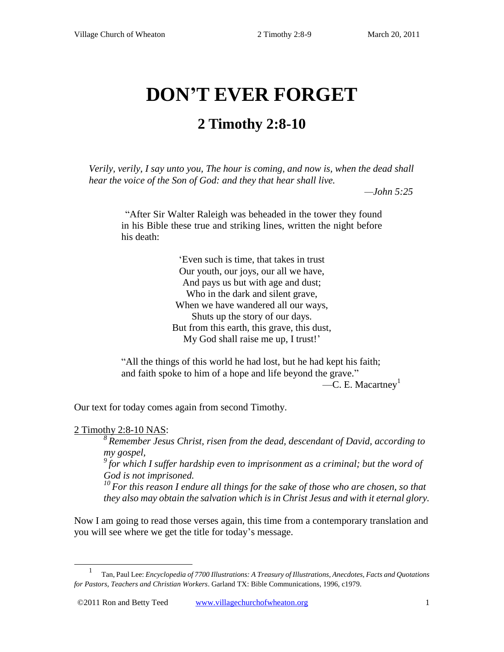# **DON'T EVER FORGET**

## **2 Timothy 2:8-10**

*Verily, verily, I say unto you, The hour is coming, and now is, when the dead shall hear the voice of the Son of God: and they that hear shall live.* 

 *—John 5:25*

"After Sir Walter Raleigh was beheaded in the tower they found in his Bible these true and striking lines, written the night before his death:

> "Even such is time, that takes in trust Our youth, our joys, our all we have, And pays us but with age and dust; Who in the dark and silent grave, When we have wandered all our ways, Shuts up the story of our days. But from this earth, this grave, this dust, My God shall raise me up, I trust!'

"All the things of this world he had lost, but he had kept his faith; and faith spoke to him of a hope and life beyond the grave."  $-C. E. Macartney<sup>1</sup>$ 

Our text for today comes again from second Timothy.

2 Timothy 2:8-10 NAS:

 $\overline{\phantom{a}}$ 

*<sup>8</sup>Remember Jesus Christ, risen from the dead, descendant of David, according to my gospel,* 

*<sup>9</sup>for which I suffer hardship even to imprisonment as a criminal; but the word of God is not imprisoned.* 

*<sup>10</sup>For this reason I endure all things for the sake of those who are chosen, so that they also may obtain the salvation which is in Christ Jesus and with it eternal glory.* 

Now I am going to read those verses again, this time from a contemporary translation and you will see where we get the title for today"s message.

<sup>1</sup> Tan, Paul Lee: *Encyclopedia of 7700 Illustrations: A Treasury of Illustrations, Anecdotes, Facts and Quotations for Pastors, Teachers and Christian Workers*. Garland TX: Bible Communications, 1996, c1979.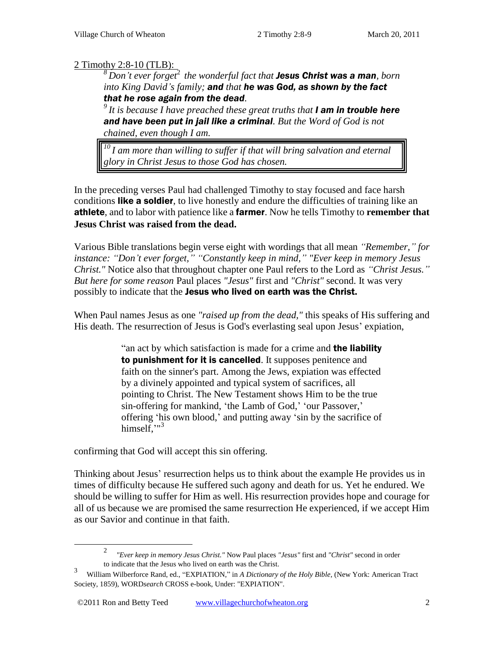#### 2 Timothy 2:8-10 (TLB):

*<sup>8</sup>Don't ever forget*<sup>2</sup> *the wonderful fact that Jesus Christ was a man, born into King David's family; and that he was God, as shown by the fact that he rose again from the dead.* 

*<sup>9</sup>It is because I have preached these great truths that I am in trouble here and have been put in jail like a criminal. But the Word of God is not chained, even though I am.* 

*<sup>10</sup>I am more than willing to suffer if that will bring salvation and eternal glory in Christ Jesus to those God has chosen.* 

In the preceding verses Paul had challenged Timothy to stay focused and face harsh conditions like a soldier, to live honestly and endure the difficulties of training like an athlete, and to labor with patience like a farmer. Now he tells Timothy to **remember that Jesus Christ was raised from the dead.**

Various Bible translations begin verse eight with wordings that all mean *"Remember," for instance: "Don't ever forget," "Constantly keep in mind," "Ever keep in memory Jesus Christ."* Notice also that throughout chapter one Paul refers to the Lord as *"Christ Jesus." But here for some reason* Paul places *"Jesus"* first and *"Christ"* second. It was very possibly to indicate that the Jesus who lived on earth was the Christ.

When Paul names Jesus as one *"raised up from the dead,"* this speaks of His suffering and His death. The resurrection of Jesus is God's everlasting seal upon Jesus' expiation,

> "an act by which satisfaction is made for a crime and the liability to punishment for it is cancelled. It supposes penitence and faith on the sinner's part. Among the Jews, expiation was effected by a divinely appointed and typical system of sacrifices, all pointing to Christ. The New Testament shows Him to be the true sin-offering for mankind, 'the Lamb of God,' 'our Passover,' offering "his own blood," and putting away "sin by the sacrifice of himself,"<sup>3</sup>

confirming that God will accept this sin offering.

 $\overline{\phantom{a}}$ 

Thinking about Jesus" resurrection helps us to think about the example He provides us in times of difficulty because He suffered such agony and death for us. Yet he endured. We should be willing to suffer for Him as well. His resurrection provides hope and courage for all of us because we are promised the same resurrection He experienced, if we accept Him as our Savior and continue in that faith.

<sup>2</sup> *"Ever keep in memory Jesus Christ."* Now Paul places *"Jesus"* first and *"Christ"* second in order to indicate that the Jesus who lived on earth was the Christ.

<sup>3</sup> William Wilberforce Rand, ed., "EXPIATION," in *A Dictionary of the Holy Bible*, (New York: American Tract Society, 1859), WORD*search* CROSS e-book, Under: "EXPIATION".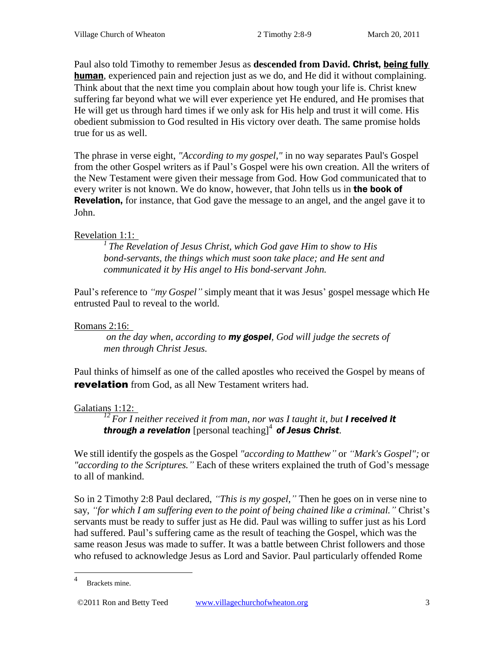Paul also told Timothy to remember Jesus as **descended from David.** Christ, being fully human, experienced pain and rejection just as we do, and He did it without complaining. Think about that the next time you complain about how tough your life is. Christ knew suffering far beyond what we will ever experience yet He endured, and He promises that He will get us through hard times if we only ask for His help and trust it will come. His obedient submission to God resulted in His victory over death. The same promise holds true for us as well.

The phrase in verse eight, *"According to my gospel,"* in no way separates Paul's Gospel from the other Gospel writers as if Paul"s Gospel were his own creation. All the writers of the New Testament were given their message from God. How God communicated that to every writer is not known. We do know, however, that John tells us in the book of **Revelation,** for instance, that God gave the message to an angel, and the angel gave it to John.

#### Revelation 1:1:

*<sup>1</sup>The Revelation of Jesus Christ, which God gave Him to show to His bond-servants, the things which must soon take place; and He sent and communicated it by His angel to His bond-servant John.* 

Paul's reference to *"my Gospel"* simply meant that it was Jesus' gospel message which He entrusted Paul to reveal to the world.

#### Romans 2:16:

*on the day when, according to my gospel, God will judge the secrets of men through Christ Jesus.* 

Paul thinks of himself as one of the called apostles who received the Gospel by means of **revelation** from God, as all New Testament writers had.

### Galatians 1:12:

<sup>12</sup>*For I neither received it from man, nor was I taught it, but I received it* **through a revelation** [personal teaching]<sup>4</sup> of Jesus Christ.

We still identify the gospels as the Gospel "according to Matthew" or "Mark's Gospel"; or *"according to the Scriptures.*" Each of these writers explained the truth of God's message to all of mankind.

So in 2 Timothy 2:8 Paul declared, *"This is my gospel*," Then he goes on in verse nine to say, "for which I am suffering even to the point of being chained like a criminal." Christ's servants must be ready to suffer just as He did. Paul was willing to suffer just as his Lord had suffered. Paul"s suffering came as the result of teaching the Gospel, which was the same reason Jesus was made to suffer. It was a battle between Christ followers and those who refused to acknowledge Jesus as Lord and Savior. Paul particularly offended Rome

©2011 Ron and Betty Teed www.villagechurchofwheaton.org 3

 4 Brackets mine.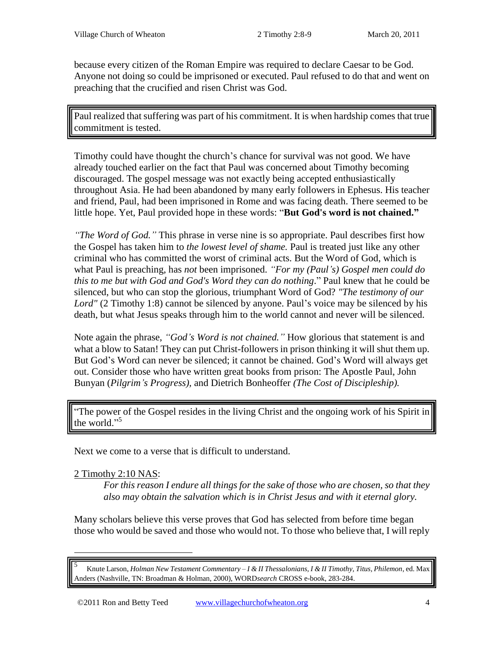because every citizen of the Roman Empire was required to declare Caesar to be God. Anyone not doing so could be imprisoned or executed. Paul refused to do that and went on preaching that the crucified and risen Christ was God.

Paul realized that suffering was part of his commitment. It is when hardship comes that true commitment is tested.

Timothy could have thought the church"s chance for survival was not good. We have already touched earlier on the fact that Paul was concerned about Timothy becoming discouraged. The gospel message was not exactly being accepted enthusiastically throughout Asia. He had been abandoned by many early followers in Ephesus. His teacher and friend, Paul, had been imprisoned in Rome and was facing death. There seemed to be little hope. Yet, Paul provided hope in these words: "**But God's word is not chained."**

*"The Word of God."* This phrase in verse nine is so appropriate. Paul describes first how the Gospel has taken him to *the lowest level of shame.* Paul is treated just like any other criminal who has committed the worst of criminal acts. But the Word of God, which is what Paul is preaching, has *not* been imprisoned. *"For my (Paul's) Gospel men could do this to me but with God and God's Word they can do nothing*." Paul knew that he could be silenced, but who can stop the glorious, triumphant Word of God? *"The testimony of our*  Lord" (2 Timothy [1:8\)](http://www.crossbooks.com/verse.asp?ref=2Ti+1%3A8) cannot be silenced by anyone. Paul's voice may be silenced by his death, but what Jesus speaks through him to the world cannot and never will be silenced.

Note again the phrase, "God's Word is not chained." How glorious that statement is and what a blow to Satan! They can put Christ-followers in prison thinking it will shut them up. But God"s Word can never be silenced; it cannot be chained. God"s Word will always get out. Consider those who have written great books from prison: The Apostle Paul, John Bunyan (*Pilgrim's Progress),* and Dietrich Bonheoffer *(The Cost of Discipleship).*

"The power of the Gospel resides in the living Christ and the ongoing work of his Spirit in the world." 5

Next we come to a verse that is difficult to understand.

2 Timothy 2:10 NAS:

l

*For this reason I endure all things for the sake of those who are chosen, so that they also may obtain the salvation which is in Christ Jesus and with it eternal glory.* 

Many scholars believe this verse proves that God has selected from before time began those who would be saved and those who would not. To those who believe that, I will reply

<sup>5</sup> Knute Larson, *Holman New Testament Commentary – I & II Thessalonians, I & II Timothy, Titus, Philemon*, ed. Max Anders (Nashville, TN: Broadman & Holman, 2000), WORD*search* CROSS e-book, 283-284.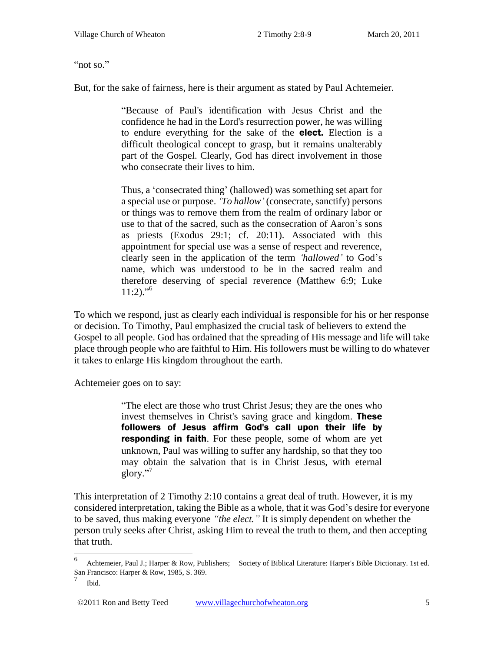"not so."

But, for the sake of fairness, here is their argument as stated by Paul Achtemeier.

"Because of Paul's identification with Jesus Christ and the confidence he had in the Lord's resurrection power, he was willing to endure everything for the sake of the elect. Election is a difficult theological concept to grasp, but it remains unalterably part of the Gospel. Clearly, God has direct involvement in those who consecrate their lives to him.

Thus, a "consecrated thing" (hallowed) was something set apart for a special use or purpose. *‗To hallow'* (consecrate, sanctify) persons or things was to remove them from the realm of ordinary labor or use to that of the sacred, such as the consecration of Aaron"s sons as priests (Exodus 29:1; cf. 20:11). Associated with this appointment for special use was a sense of respect and reverence, clearly seen in the application of the term *‗hallowed'* to God"s name, which was understood to be in the sacred realm and therefore deserving of special reverence (Matthew 6:9; Luke  $11:2$ <sup>36</sup>

To which we respond, just as clearly each individual is responsible for his or her response or decision. To Timothy, Paul emphasized the crucial task of believers to extend the Gospel to all people. God has ordained that the spreading of His message and life will take place through people who are faithful to Him. His followers must be willing to do whatever it takes to enlarge His kingdom throughout the earth.

Achtemeier goes on to say:

"The elect are those who trust Christ Jesus; they are the ones who invest themselves in Christ's saving grace and kingdom. **These** followers of Jesus affirm God's call upon their life by responding in faith. For these people, some of whom are yet unknown, Paul was willing to suffer any hardship, so that they too may obtain the salvation that is in Christ Jesus, with eternal glory." 7

This interpretation of 2 Timothy 2:10 contains a great deal of truth. However, it is my considered interpretation, taking the Bible as a whole, that it was God"s desire for everyone to be saved, thus making everyone *"the elect*." It is simply dependent on whether the person truly seeks after Christ, asking Him to reveal the truth to them, and then accepting that truth.

 $\overline{a}$ 

<sup>6</sup> Achtemeier, Paul J.; Harper & Row, Publishers; Society of Biblical Literature: Harper's Bible Dictionary. 1st ed. San Francisco: Harper & Row, 1985, S. 369. 7

Ibid.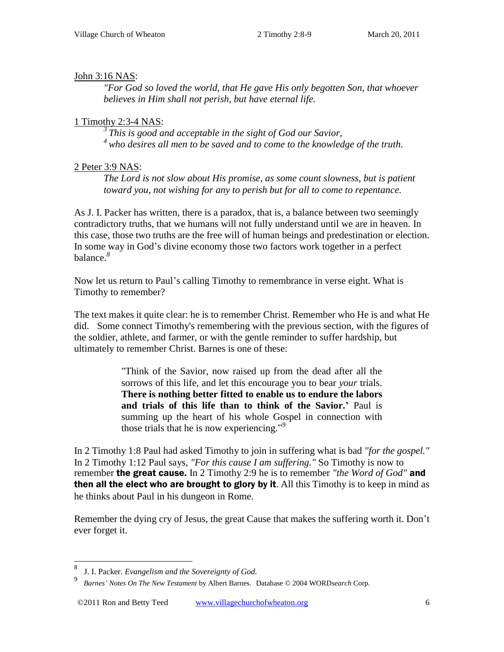#### John 3:16 NAS:

*"For God so loved the world, that He gave His only begotten Son, that whoever believes in Him shall not perish, but have eternal life.* 

#### 1 Timothy 2:3-4 NAS:

*<sup>3</sup>This is good and acceptable in the sight of God our Savior, <sup>4</sup>who desires all men to be saved and to come to the knowledge of the truth.* 

#### 2 Peter 3:9 NAS:

*The Lord is not slow about His promise, as some count slowness, but is patient toward you, not wishing for any to perish but for all to come to repentance.* 

As J. I. Packer has written, there is a paradox, that is, a balance between two seemingly contradictory truths, that we humans will not fully understand until we are in heaven. In this case, those two truths are the free will of human beings and predestination or election. In some way in God"s divine economy those two factors work together in a perfect balance.*<sup>8</sup>*

Now let us return to Paul"s calling Timothy to remembrance in verse eight. What is Timothy to remember?

The text makes it quite clear: he is to remember Christ. Remember who He is and what He did. Some connect Timothy's remembering with the previous section, with the figures of the soldier, athlete, and farmer, or with the gentle reminder to suffer hardship, but ultimately to remember Christ. Barnes is one of these:

> "Think of the Savior, now raised up from the dead after all the sorrows of this life, and let this encourage you to bear *your* trials. **There is nothing better fitted to enable us to endure the labors and trials of this life than to think of the Savior.'** Paul is summing up the heart of his whole Gospel in connection with those trials that he is now experiencing."<sup>9</sup>

In 2 Timothy [1:8](http://www.crossbooks.com/verse.asp?ref=Mt+1%3A8) Paul had asked Timothy to join in suffering what is bad *"for the gospel."*  In 2 Timothy [1:12](http://www.crossbooks.com/verse.asp?ref=2Ti+1%3A12) Paul says, *"For this cause I am suffering."* So Timothy is now to remember the great cause. In 2 Timothy 2[:9](http://www.crossbooks.com/verse.asp?ref=2Ti+2%3A9) he is to remember *"the Word of God"* and then all the elect who are brought to glory by it. All this Timothy is to keep in mind as he thinks about Paul in his dungeon in Rome.

Remember the dying cry of Jesus, the great Cause that makes the suffering worth it. Don"t ever forget it.

 $\overline{\phantom{a}}$ 

<sup>8</sup> J. I. Packer. *Evangelism and the Sovereignty of God.*

<sup>9</sup> *Barnes' Notes On The New Testament* by Albert Barnes. Database © 2004 WORD*search* Corp.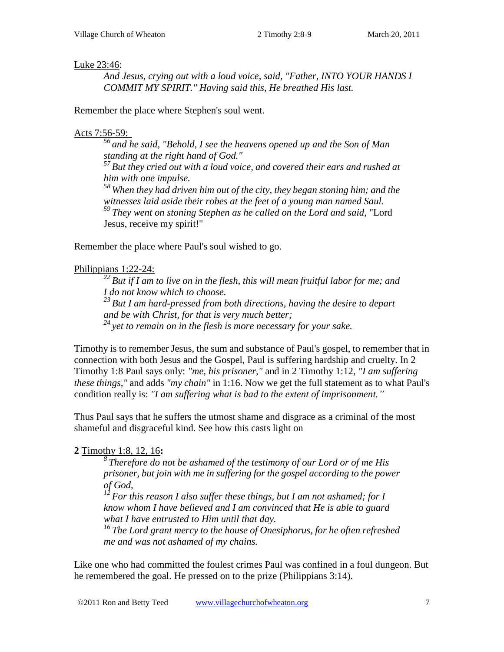#### Luke 23:46:

*And Jesus, crying out with a loud voice, said, "Father, INTO YOUR HANDS I COMMIT MY SPIRIT." Having said this, He breathed His last.* 

Remember the place where Stephen's soul went.

#### Acts 7:56-59:

*<sup>56</sup>and he said, "Behold, I see the heavens opened up and the Son of Man standing at the right hand of God." <sup>57</sup>But they cried out with a loud voice, and covered their ears and rushed at* 

*him with one impulse. <sup>58</sup>When they had driven him out of the city, they began stoning him; and the witnesses laid aside their robes at the feet of a young man named Saul. <sup>59</sup>They went on stoning Stephen as he called on the Lord and said,* "Lord

Jesus, receive my spirit!"

Remember the place where Paul's soul wished to go.

#### Philippians 1:22-24:

*<sup>22</sup>But if I am to live on in the flesh, this will mean fruitful labor for me; and I do not know which to choose. <sup>23</sup>But I am hard-pressed from both directions, having the desire to depart and be with Christ, for that is very much better; <sup>24</sup>yet to remain on in the flesh is more necessary for your sake.* 

Timothy is to remember Jesus, the sum and substance of Paul's gospel, to remember that in connection with both Jesus and the Gospel, Paul is suffering hardship and cruelty. In 2 Timothy 1:8 Paul says only: *"me, his prisoner,"* and in 2 Timothy [1:12,](http://www.crossbooks.com/verse.asp?ref=2Ti+1%3A12) *"I am suffering these things,"* and adds *"my chain"* in [1:16.](http://www.crossbooks.com/verse.asp?ref=2Ti+1%3A16) Now we get the full statement as to what Paul's condition really is: *"I am suffering what is bad to the extent of imprisonment.*"

Thus Paul says that he suffers the utmost shame and disgrace as a criminal of the most shameful and disgraceful kind. See how this casts light on

#### **2** Timothy 1:8, 12, 16**:**

*<sup>8</sup>Therefore do not be ashamed of the testimony of our Lord or of me His prisoner, but join with me in suffering for the gospel according to the power of God,* 

*<sup>12</sup>For this reason I also suffer these things, but I am not ashamed; for I know whom I have believed and I am convinced that He is able to guard what I have entrusted to Him until that day.* 

*<sup>16</sup>The Lord grant mercy to the house of Onesiphorus, for he often refreshed me and was not ashamed of my chains.* 

Like one who had committed the foulest crimes Paul was confined in a foul dungeon. But he remembered the goal. He pressed on to the prize (Philippians 3:14).